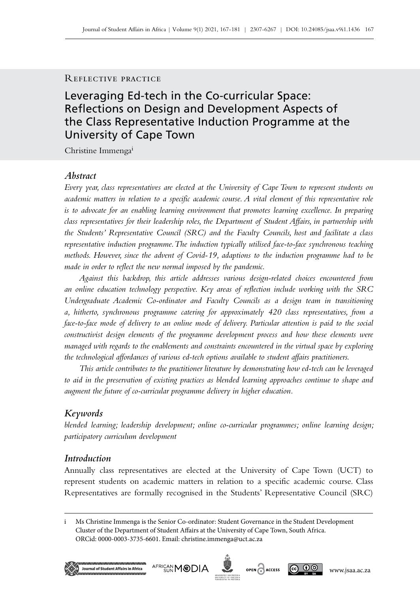### Reflective practice

# Leveraging Ed-tech in the Co-curricular Space: Reflections on Design and Development Aspects of the Class Representative Induction Programme at the University of Cape Town

Christine Immengai

### *Abstract*

*Every year, class representatives are elected at the University of Cape Town to represent students on academic matters in relation to a specific academic course. A vital element of this representative role is to advocate for an enabling learning environment that promotes learning excellence. In preparing class representatives for their leadership roles, the Department of Student Affairs, in partnership with the Students' Representative Council (SRC) and the Faculty Councils, host and facilitate a class representative induction programme. The induction typically utilised face-to-face synchronous teaching methods. However, since the advent of Covid-19, adaptions to the induction programme had to be made in order to reflect the new normal imposed by the pandemic.*

*Against this backdrop, this article addresses various design-related choices encountered from an online education technology perspective. Key areas of reflection include working with the SRC Undergraduate Academic Co-ordinator and Faculty Councils as a design team in transitioning a, hitherto, synchronous programme catering for approximately 420 class representatives, from a face-to-face mode of delivery to an online mode of delivery. Particular attention is paid to the social constructivist design elements of the programme development process and how these elements were managed with regards to the enablements and constraints encountered in the virtual space by exploring the technological affordances of various ed-tech options available to student affairs practitioners.*

*This article contributes to the practitioner literature by demonstrating how ed-tech can be leveraged to aid in the preservation of existing practices as blended learning approaches continue to shape and augment the future of co-curricular programme delivery in higher education.* 

# *Keywords*

*blended learning; leadership development; online co-curricular programmes; online learning design; participatory curriculum development*

### *Introduction*

Annually class representatives are elected at the University of Cape Town (UCT) to represent students on academic matters in relation to a specific academic course. Class Representatives are formally recognised in the Students' Representative Council (SRC)

i Ms Christine Immenga is the Senior Co-ordinator: Student Governance in the Student Development Cluster of the Department of Student Affairs at the University of Cape Town, South Africa. ORCid: 0000-0003-3735-6601. Email: [christine.immenga@uct.ac.za](mailto:christine.immenga%40uct.ac.za?subject=)







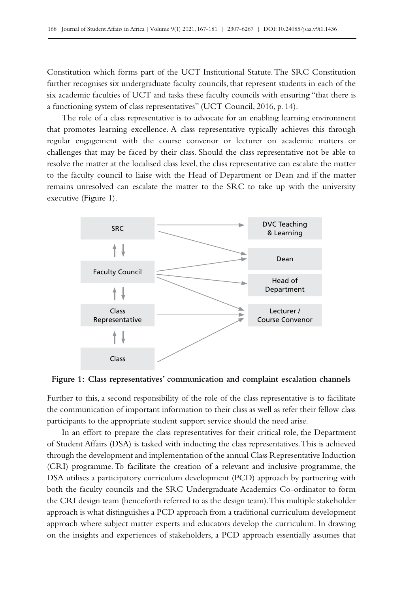Constitution which forms part of the UCT Institutional Statute. The SRC Constitution further recognises six undergraduate faculty councils, that represent students in each of the six academic faculties of UCT and tasks these faculty councils with ensuring "that there is a functioning system of class representatives" (UCT Council, 2016, p. 14).

The role of a class representative is to advocate for an enabling learning environment that promotes learning excellence. A class representative typically achieves this through regular engagement with the course convenor or lecturer on academic matters or challenges that may be faced by their class. Should the class representative not be able to resolve the matter at the localised class level, the class representative can escalate the matter to the faculty council to liaise with the Head of Department or Dean and if the matter remains unresolved can escalate the matter to the SRC to take up with the university executive (Figure 1).



**Figure 1: Class representatives' communication and complaint escalation channels**

Further to this, a second responsibility of the role of the class representative is to facilitate the communication of important information to their class as well as refer their fellow class participants to the appropriate student support service should the need arise.

In an effort to prepare the class representatives for their critical role, the Department of Student Affairs (DSA) is tasked with inducting the class representatives. This is achieved through the development and implementation of the annual Class Representative Induction (CRI) programme. To facilitate the creation of a relevant and inclusive programme, the DSA utilises a participatory curriculum development (PCD) approach by partnering with both the faculty councils and the SRC Undergraduate Academics Co-ordinator to form the CRI design team (henceforth referred to as the design team). This multiple stakeholder approach is what distinguishes a PCD approach from a traditional curriculum development approach where subject matter experts and educators develop the curriculum. In drawing on the insights and experiences of stakeholders, a PCD approach essentially assumes that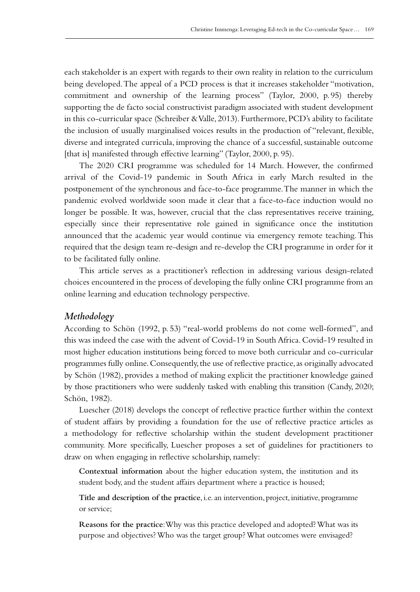each stakeholder is an expert with regards to their own reality in relation to the curriculum being developed. The appeal of a PCD process is that it increases stakeholder "motivation, commitment and ownership of the learning process" (Taylor, 2000, p. 95) thereby supporting the de facto social constructivist paradigm associated with student development in this co-curricular space (Schreiber & Valle, 2013). Furthermore, PCD's ability to facilitate the inclusion of usually marginalised voices results in the production of "relevant, flexible, diverse and integrated curricula, improving the chance of a successful, sustainable outcome [that is] manifested through effective learning" (Taylor, 2000, p. 95).

The 2020 CRI programme was scheduled for 14 March. However, the confirmed arrival of the Covid‑19 pandemic in South Africa in early March resulted in the postponement of the synchronous and face-to-face programme. The manner in which the pandemic evolved worldwide soon made it clear that a face-to-face induction would no longer be possible. It was, however, crucial that the class representatives receive training, especially since their representative role gained in significance once the institution announced that the academic year would continue via emergency remote teaching. This required that the design team re‑design and re‑develop the CRI programme in order for it to be facilitated fully online.

This article serves as a practitioner's reflection in addressing various design-related choices encountered in the process of developing the fully online CRI programme from an online learning and education technology perspective.

### *Methodology*

According to Schön (1992, p. 53) "real-world problems do not come well-formed", and this was indeed the case with the advent of Covid-19 in South Africa. Covid-19 resulted in most higher education institutions being forced to move both curricular and co-curricular programmes fully online. Consequently, the use of reflective practice, as originally advocated by Schön (1982), provides a method of making explicit the practitioner knowledge gained by those practitioners who were suddenly tasked with enabling this transition (Candy, 2020; Schön, 1982).

Luescher (2018) develops the concept of reflective practice further within the context of student affairs by providing a foundation for the use of reflective practice articles as a methodology for reflective scholarship within the student development practitioner community. More specifically, Luescher proposes a set of guidelines for practitioners to draw on when engaging in reflective scholarship, namely:

**Contextual information** about the higher education system, the institution and its student body, and the student affairs department where a practice is housed;

**Title and description of the practice**, i.e. an intervention, project, initiative, programme or service;

**Reasons for the practice**: Why was this practice developed and adopted? What was its purpose and objectives? Who was the target group? What outcomes were envisaged?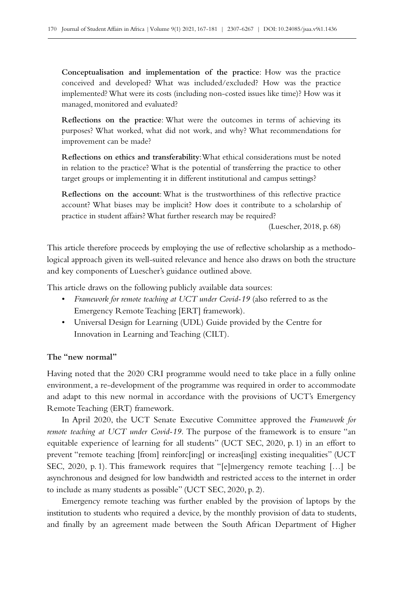**Conceptualisation and implementation of the practice**: How was the practice conceived and developed? What was included/excluded? How was the practice implemented? What were its costs (including non-costed issues like time)? How was it managed, monitored and evaluated?

**Reflections on the practice**: What were the outcomes in terms of achieving its purposes? What worked, what did not work, and why? What recommendations for improvement can be made?

**Reflections on ethics and transferability**: What ethical considerations must be noted in relation to the practice? What is the potential of transferring the practice to other target groups or implementing it in different institutional and campus settings?

**Reflections on the account**: What is the trustworthiness of this reflective practice account? What biases may be implicit? How does it contribute to a scholarship of practice in student affairs? What further research may be required?

(Luescher, 2018, p. 68)

This article therefore proceeds by employing the use of reflective scholarship as a methodological approach given its well-suited relevance and hence also draws on both the structure and key components of Luescher's guidance outlined above.

This article draws on the following publicly available data sources:

- *Framework for remote teaching at UCT under Covid-19* (also referred to as the Emergency Remote Teaching [ERT] framework).
- Universal Design for Learning (UDL) Guide provided by the Centre for Innovation in Learning and Teaching (CILT).

## **The "new normal"**

Having noted that the 2020 CRI programme would need to take place in a fully online environment, a re-development of the programme was required in order to accommodate and adapt to this new normal in accordance with the provisions of UCT's Emergency Remote Teaching (ERT) framework.

In April 2020, the UCT Senate Executive Committee approved the *Framework for remote teaching at UCT under Covid-19.* The purpose of the framework is to ensure "an equitable experience of learning for all students" (UCT SEC, 2020, p. 1) in an effort to prevent "remote teaching [from] reinforc[ing] or increas[ing] existing inequalities" (UCT SEC, 2020, p. 1). This framework requires that "[e]mergency remote teaching […] be asynchronous and designed for low bandwidth and restricted access to the internet in order to include as many students as possible" (UCT SEC, 2020, p. 2).

Emergency remote teaching was further enabled by the provision of laptops by the institution to students who required a device, by the monthly provision of data to students, and finally by an agreement made between the South African Department of Higher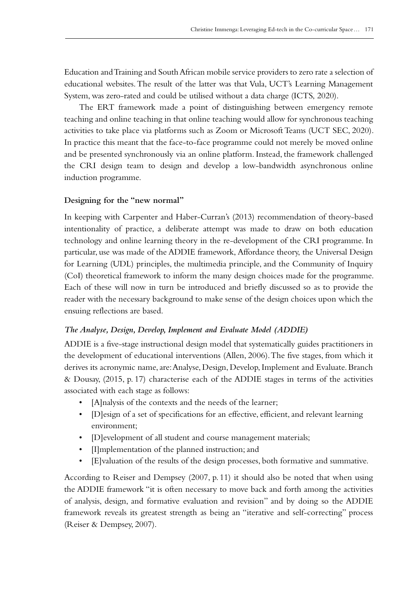Education and Training and South African mobile service providers to zero rate a selection of educational websites. The result of the latter was that Vula, UCT's Learning Management System, was zero-rated and could be utilised without a data charge (ICTS, 2020).

The ERT framework made a point of distinguishing between emergency remote teaching and online teaching in that online teaching would allow for synchronous teaching activities to take place via platforms such as Zoom or Microsoft Teams (UCT SEC, 2020). In practice this meant that the face-to-face programme could not merely be moved online and be presented synchronously via an online platform. Instead, the framework challenged the CRI design team to design and develop a low-bandwidth asynchronous online induction programme.

### **Designing for the "new normal"**

In keeping with Carpenter and Haber-Curran's (2013) recommendation of theory-based intentionality of practice, a deliberate attempt was made to draw on both education technology and online learning theory in the re‑development of the CRI programme. In particular, use was made of the ADDIE framework, Affordance theory, the Universal Design for Learning (UDL) principles, the multimedia principle, and the Community of Inquiry (CoI) theoretical framework to inform the many design choices made for the programme. Each of these will now in turn be introduced and briefly discussed so as to provide the reader with the necessary background to make sense of the design choices upon which the ensuing reflections are based.

### *The Analyse, Design, Develop, Implement and Evaluate Model (ADDIE)*

ADDIE is a five-stage instructional design model that systematically guides practitioners in the development of educational interventions (Allen, 2006). The five stages, from which it derives its acronymic name, are: Analyse, Design, Develop, Implement and Evaluate. Branch & Dousay, (2015, p. 17) characterise each of the ADDIE stages in terms of the activities associated with each stage as follows:

- [A]nalysis of the contexts and the needs of the learner;
- [D]esign of a set of specifications for an effective, efficient, and relevant learning environment;
- [D]evelopment of all student and course management materials;
- [I]mplementation of the planned instruction; and
- [E]valuation of the results of the design processes, both formative and summative.

According to Reiser and Dempsey (2007, p. 11) it should also be noted that when using the ADDIE framework "it is often necessary to move back and forth among the activities of analysis, design, and formative evaluation and revision" and by doing so the ADDIE framework reveals its greatest strength as being an "iterative and self-correcting" process (Reiser & Dempsey, 2007).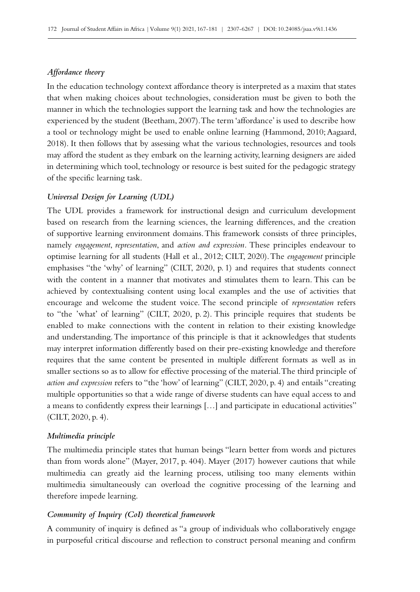### *Affordance theory*

In the education technology context affordance theory is interpreted as a maxim that states that when making choices about technologies, consideration must be given to both the manner in which the technologies support the learning task and how the technologies are experienced by the student (Beetham, 2007). The term 'affordance' is used to describe how a tool or technology might be used to enable online learning (Hammond, 2010; Aagaard, 2018). It then follows that by assessing what the various technologies, resources and tools may afford the student as they embark on the learning activity, learning designers are aided in determining which tool, technology or resource is best suited for the pedagogic strategy of the specific learning task.

#### *Universal Design for Learning (UDL)*

The UDL provides a framework for instructional design and curriculum development based on research from the learning sciences, the learning differences, and the creation of supportive learning environment domains. This framework consists of three principles, namely *engagement*, *representation*, and *action and expression.* These principles endeavour to optimise learning for all students (Hall et al., 2012; CILT, 2020). The *engagement* principle emphasises "the 'why' of learning" (CILT, 2020, p. 1) and requires that students connect with the content in a manner that motivates and stimulates them to learn. This can be achieved by contextualising content using local examples and the use of activities that encourage and welcome the student voice. The second principle of *representation* refers to "the 'what' of learning" (CILT, 2020, p. 2). This principle requires that students be enabled to make connections with the content in relation to their existing knowledge and understanding. The importance of this principle is that it acknowledges that students may interpret information differently based on their pre‑existing knowledge and therefore requires that the same content be presented in multiple different formats as well as in smaller sections so as to allow for effective processing of the material. The third principle of *action and expression* refers to "the 'how' of learning" (CILT, 2020, p. 4) and entails "creating multiple opportunities so that a wide range of diverse students can have equal access to and a means to confidently express their learnings […] and participate in educational activities" (CILT, 2020, p. 4).

#### *Multimedia principle*

The multimedia principle states that human beings "learn better from words and pictures than from words alone" (Mayer, 2017, p. 404). Mayer (2017) however cautions that while multimedia can greatly aid the learning process, utilising too many elements within multimedia simultaneously can overload the cognitive processing of the learning and therefore impede learning.

### *Community of Inquiry (CoI) theoretical framework*

A community of inquiry is defined as "a group of individuals who collaboratively engage in purposeful critical discourse and reflection to construct personal meaning and confirm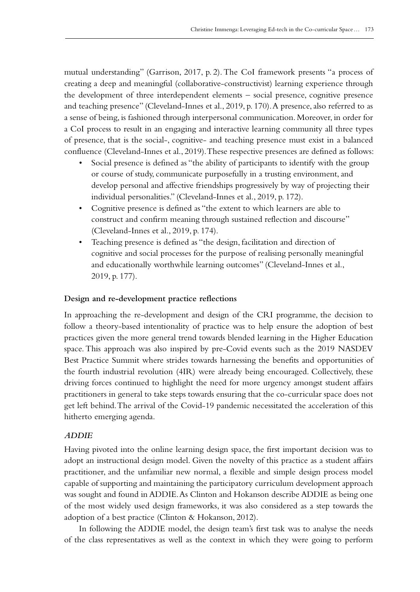mutual understanding" (Garrison, 2017, p. 2). The CoI framework presents "a process of creating a deep and meaningful (collaborative-constructivist) learning experience through the development of three interdependent elements – social presence, cognitive presence and teaching presence" (Cleveland-Innes et al., 2019, p. 170). A presence, also referred to as a sense of being, is fashioned through interpersonal communication. Moreover, in order for a CoI process to result in an engaging and interactive learning community all three types of presence, that is the social-, cognitive- and teaching presence must exist in a balanced confluence (Cleveland-Innes et al., 2019). These respective presences are defined as follows:

- Social presence is defined as "the ability of participants to identify with the group or course of study, communicate purposefully in a trusting environment, and develop personal and affective friendships progressively by way of projecting their individual personalities." (Cleveland-Innes et al., 2019, p. 172).
- Cognitive presence is defined as "the extent to which learners are able to construct and confirm meaning through sustained reflection and discourse" (Cleveland-Innes et al., 2019, p. 174).
- Teaching presence is defined as "the design, facilitation and direction of cognitive and social processes for the purpose of realising personally meaningful and educationally worthwhile learning outcomes" (Cleveland-Innes et al., 2019, p. 177).

### **Design and re‑development practice reflections**

In approaching the re-development and design of the CRI programme, the decision to follow a theory-based intentionality of practice was to help ensure the adoption of best practices given the more general trend towards blended learning in the Higher Education space. This approach was also inspired by pre–Covid events such as the 2019 NASDEV Best Practice Summit where strides towards harnessing the benefits and opportunities of the fourth industrial revolution (4IR) were already being encouraged. Collectively, these driving forces continued to highlight the need for more urgency amongst student affairs practitioners in general to take steps towards ensuring that the co-curricular space does not get left behind. The arrival of the Covid-19 pandemic necessitated the acceleration of this hitherto emerging agenda.

## *ADDIE*

Having pivoted into the online learning design space, the first important decision was to adopt an instructional design model. Given the novelty of this practice as a student affairs practitioner, and the unfamiliar new normal, a flexible and simple design process model capable of supporting and maintaining the participatory curriculum development approach was sought and found in ADDIE. As Clinton and Hokanson describe ADDIE as being one of the most widely used design frameworks, it was also considered as a step towards the adoption of a best practice (Clinton & Hokanson, 2012).

In following the ADDIE model, the design team's first task was to analyse the needs of the class representatives as well as the context in which they were going to perform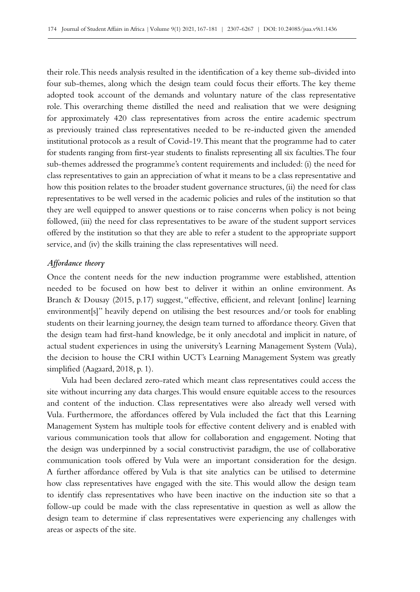their role. This needs analysis resulted in the identification of a key theme sub-divided into four sub-themes, along which the design team could focus their efforts. The key theme adopted took account of the demands and voluntary nature of the class representative role. This overarching theme distilled the need and realisation that we were designing for approximately 420 class representatives from across the entire academic spectrum as previously trained class representatives needed to be re‑inducted given the amended institutional protocols as a result of Covid‑19. This meant that the programme had to cater for students ranging from first-year students to finalists representing all six faculties. The four sub-themes addressed the programme's content requirements and included: (i) the need for class representatives to gain an appreciation of what it means to be a class representative and how this position relates to the broader student governance structures, (ii) the need for class representatives to be well versed in the academic policies and rules of the institution so that they are well equipped to answer questions or to raise concerns when policy is not being followed, (iii) the need for class representatives to be aware of the student support services offered by the institution so that they are able to refer a student to the appropriate support service, and (iv) the skills training the class representatives will need.

#### *Affordance theory*

Once the content needs for the new induction programme were established, attention needed to be focused on how best to deliver it within an online environment. As Branch & Dousay (2015, p.17) suggest, "effective, efficient, and relevant [online] learning environment[s]" heavily depend on utilising the best resources and/or tools for enabling students on their learning journey, the design team turned to affordance theory. Given that the design team had first-hand knowledge, be it only anecdotal and implicit in nature, of actual student experiences in using the university's Learning Management System (Vula), the decision to house the CRI within UCT's Learning Management System was greatly simplified (Aagaard, 2018, p. 1).

Vula had been declared zero-rated which meant class representatives could access the site without incurring any data charges. This would ensure equitable access to the resources and content of the induction. Class representatives were also already well versed with Vula. Furthermore, the affordances offered by Vula included the fact that this Learning Management System has multiple tools for effective content delivery and is enabled with various communication tools that allow for collaboration and engagement. Noting that the design was underpinned by a social constructivist paradigm, the use of collaborative communication tools offered by Vula were an important consideration for the design. A further affordance offered by Vula is that site analytics can be utilised to determine how class representatives have engaged with the site. This would allow the design team to identify class representatives who have been inactive on the induction site so that a follow-up could be made with the class representative in question as well as allow the design team to determine if class representatives were experiencing any challenges with areas or aspects of the site.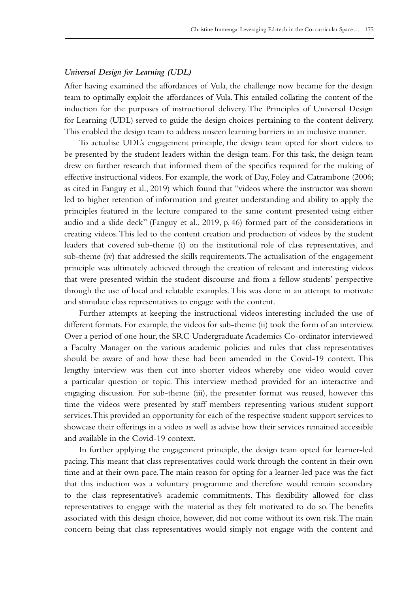### *Universal Design for Learning (UDL)*

After having examined the affordances of Vula, the challenge now became for the design team to optimally exploit the affordances of Vula. This entailed collating the content of the induction for the purposes of instructional delivery. The Principles of Universal Design for Learning (UDL) served to guide the design choices pertaining to the content delivery. This enabled the design team to address unseen learning barriers in an inclusive manner.

To actualise UDL's engagement principle, the design team opted for short videos to be presented by the student leaders within the design team. For this task, the design team drew on further research that informed them of the specifics required for the making of effective instructional videos. For example, the work of Day, Foley and Catrambone (2006; as cited in Fanguy et al., 2019) which found that "videos where the instructor was shown led to higher retention of information and greater understanding and ability to apply the principles featured in the lecture compared to the same content presented using either audio and a slide deck" (Fanguy et al., 2019, p. 46) formed part of the considerations in creating videos. This led to the content creation and production of videos by the student leaders that covered sub-theme (i) on the institutional role of class representatives, and sub-theme (iv) that addressed the skills requirements. The actualisation of the engagement principle was ultimately achieved through the creation of relevant and interesting videos that were presented within the student discourse and from a fellow students' perspective through the use of local and relatable examples. This was done in an attempt to motivate and stimulate class representatives to engage with the content.

Further attempts at keeping the instructional videos interesting included the use of different formats. For example, the videos for sub-theme (ii) took the form of an interview. Over a period of one hour, the SRC Undergraduate Academics Co-ordinator interviewed a Faculty Manager on the various academic policies and rules that class representatives should be aware of and how these had been amended in the Covid‑19 context. This lengthy interview was then cut into shorter videos whereby one video would cover a particular question or topic. This interview method provided for an interactive and engaging discussion. For sub-theme (iii), the presenter format was reused, however this time the videos were presented by staff members representing various student support services. This provided an opportunity for each of the respective student support services to showcase their offerings in a video as well as advise how their services remained accessible and available in the Covid‑19 context.

In further applying the engagement principle, the design team opted for learner-led pacing. This meant that class representatives could work through the content in their own time and at their own pace. The main reason for opting for a learner-led pace was the fact that this induction was a voluntary programme and therefore would remain secondary to the class representative's academic commitments. This flexibility allowed for class representatives to engage with the material as they felt motivated to do so. The benefits associated with this design choice, however, did not come without its own risk. The main concern being that class representatives would simply not engage with the content and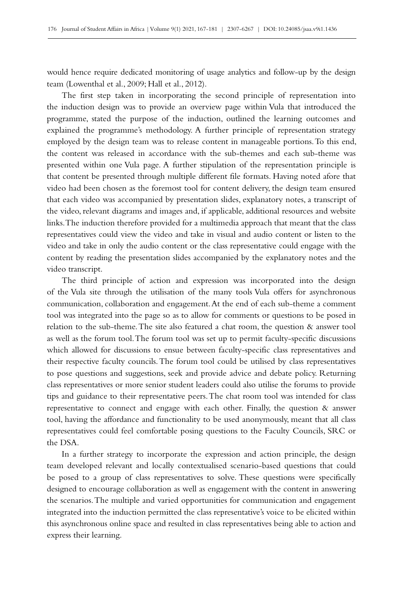would hence require dedicated monitoring of usage analytics and follow-up by the design team (Lowenthal et al., 2009; Hall et al., 2012).

The first step taken in incorporating the second principle of representation into the induction design was to provide an overview page within Vula that introduced the programme, stated the purpose of the induction, outlined the learning outcomes and explained the programme's methodology. A further principle of representation strategy employed by the design team was to release content in manageable portions. To this end, the content was released in accordance with the sub-themes and each sub-theme was presented within one Vula page. A further stipulation of the representation principle is that content be presented through multiple different file formats. Having noted afore that video had been chosen as the foremost tool for content delivery, the design team ensured that each video was accompanied by presentation slides, explanatory notes, a transcript of the video, relevant diagrams and images and, if applicable, additional resources and website links. The induction therefore provided for a multimedia approach that meant that the class representatives could view the video and take in visual and audio content or listen to the video and take in only the audio content or the class representative could engage with the content by reading the presentation slides accompanied by the explanatory notes and the video transcript.

The third principle of action and expression was incorporated into the design of the Vula site through the utilisation of the many tools Vula offers for asynchronous communication, collaboration and engagement. At the end of each sub-theme a comment tool was integrated into the page so as to allow for comments or questions to be posed in relation to the sub-theme. The site also featured a chat room, the question & answer tool as well as the forum tool. The forum tool was set up to permit faculty-specific discussions which allowed for discussions to ensue between faculty-specific class representatives and their respective faculty councils. The forum tool could be utilised by class representatives to pose questions and suggestions, seek and provide advice and debate policy. Returning class representatives or more senior student leaders could also utilise the forums to provide tips and guidance to their representative peers. The chat room tool was intended for class representative to connect and engage with each other. Finally, the question  $\&$  answer tool, having the affordance and functionality to be used anonymously, meant that all class representatives could feel comfortable posing questions to the Faculty Councils, SRC or the DSA.

In a further strategy to incorporate the expression and action principle, the design team developed relevant and locally contextualised scenario-based questions that could be posed to a group of class representatives to solve. These questions were specifically designed to encourage collaboration as well as engagement with the content in answering the scenarios. The multiple and varied opportunities for communication and engagement integrated into the induction permitted the class representative's voice to be elicited within this asynchronous online space and resulted in class representatives being able to action and express their learning.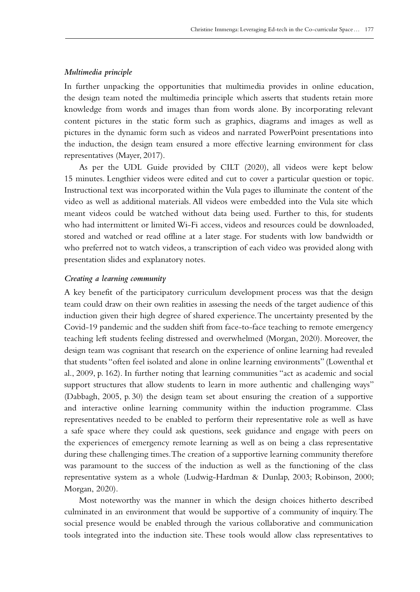### *Multimedia principle*

In further unpacking the opportunities that multimedia provides in online education, the design team noted the multimedia principle which asserts that students retain more knowledge from words and images than from words alone. By incorporating relevant content pictures in the static form such as graphics, diagrams and images as well as pictures in the dynamic form such as videos and narrated PowerPoint presentations into the induction, the design team ensured a more effective learning environment for class representatives (Mayer, 2017).

As per the UDL Guide provided by CILT (2020), all videos were kept below 15 minutes. Lengthier videos were edited and cut to cover a particular question or topic. Instructional text was incorporated within the Vula pages to illuminate the content of the video as well as additional materials. All videos were embedded into the Vula site which meant videos could be watched without data being used. Further to this, for students who had intermittent or limited Wi‑Fi access, videos and resources could be downloaded, stored and watched or read offline at a later stage. For students with low bandwidth or who preferred not to watch videos, a transcription of each video was provided along with presentation slides and explanatory notes.

#### *Creating a learning community*

A key benefit of the participatory curriculum development process was that the design team could draw on their own realities in assessing the needs of the target audience of this induction given their high degree of shared experience. The uncertainty presented by the Covid‑19 pandemic and the sudden shift from face-to-face teaching to remote emergency teaching left students feeling distressed and overwhelmed (Morgan, 2020). Moreover, the design team was cognisant that research on the experience of online learning had revealed that students "often feel isolated and alone in online learning environments" (Lowenthal et al., 2009, p. 162). In further noting that learning communities "act as academic and social support structures that allow students to learn in more authentic and challenging ways" (Dabbagh, 2005, p. 30) the design team set about ensuring the creation of a supportive and interactive online learning community within the induction programme. Class representatives needed to be enabled to perform their representative role as well as have a safe space where they could ask questions, seek guidance and engage with peers on the experiences of emergency remote learning as well as on being a class representative during these challenging times. The creation of a supportive learning community therefore was paramount to the success of the induction as well as the functioning of the class representative system as a whole (Ludwig-Hardman & Dunlap, 2003; Robinson, 2000; Morgan, 2020).

Most noteworthy was the manner in which the design choices hitherto described culminated in an environment that would be supportive of a community of inquiry. The social presence would be enabled through the various collaborative and communication tools integrated into the induction site. These tools would allow class representatives to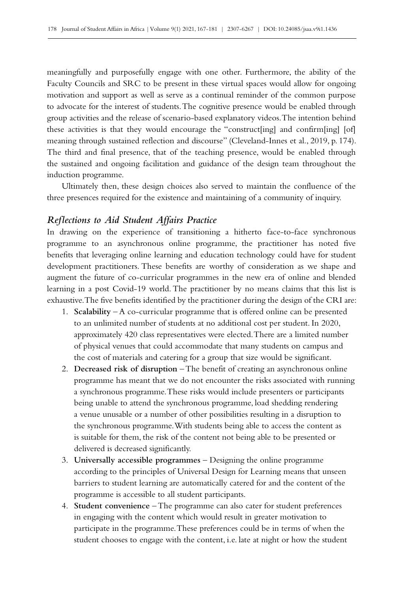meaningfully and purposefully engage with one other. Furthermore, the ability of the Faculty Councils and SRC to be present in these virtual spaces would allow for ongoing motivation and support as well as serve as a continual reminder of the common purpose to advocate for the interest of students. The cognitive presence would be enabled through group activities and the release of scenario-based explanatory videos. The intention behind these activities is that they would encourage the "construct[ing] and confirm[ing] [of] meaning through sustained reflection and discourse" (Cleveland-Innes et al., 2019, p. 174). The third and final presence, that of the teaching presence, would be enabled through the sustained and ongoing facilitation and guidance of the design team throughout the induction programme.

Ultimately then, these design choices also served to maintain the confluence of the three presences required for the existence and maintaining of a community of inquiry.

### *Reflections to Aid Student Affairs Practice*

In drawing on the experience of transitioning a hitherto face-to-face synchronous programme to an asynchronous online programme, the practitioner has noted five benefits that leveraging online learning and education technology could have for student development practitioners. These benefits are worthy of consideration as we shape and augment the future of co‑curricular programmes in the new era of online and blended learning in a post Covid–19 world. The practitioner by no means claims that this list is exhaustive. The five benefits identified by the practitioner during the design of the CRI are:

- 1. **Scalability** A co-curricular programme that is offered online can be presented to an unlimited number of students at no additional cost per student. In 2020, approximately 420 class representatives were elected. There are a limited number of physical venues that could accommodate that many students on campus and the cost of materials and catering for a group that size would be significant.
- 2. **Decreased risk of disruption** The benefit of creating an asynchronous online programme has meant that we do not encounter the risks associated with running a synchronous programme. These risks would include presenters or participants being unable to attend the synchronous programme, load shedding rendering a venue unusable or a number of other possibilities resulting in a disruption to the synchronous programme. With students being able to access the content as is suitable for them, the risk of the content not being able to be presented or delivered is decreased significantly.
- 3. **Universally accessible programmes** Designing the online programme according to the principles of Universal Design for Learning means that unseen barriers to student learning are automatically catered for and the content of the programme is accessible to all student participants.
- 4. **Student convenience** The programme can also cater for student preferences in engaging with the content which would result in greater motivation to participate in the programme. These preferences could be in terms of when the student chooses to engage with the content, i.e. late at night or how the student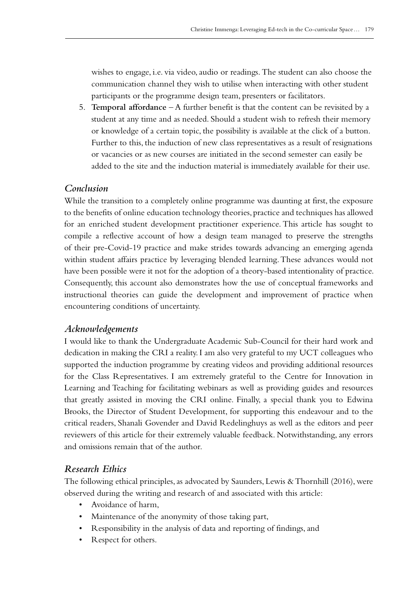wishes to engage, i.e. via video, audio or readings. The student can also choose the communication channel they wish to utilise when interacting with other student participants or the programme design team, presenters or facilitators.

5. **Temporal affordance** – A further benefit is that the content can be revisited by a student at any time and as needed. Should a student wish to refresh their memory or knowledge of a certain topic, the possibility is available at the click of a button. Further to this, the induction of new class representatives as a result of resignations or vacancies or as new courses are initiated in the second semester can easily be added to the site and the induction material is immediately available for their use.

# *Conclusion*

While the transition to a completely online programme was daunting at first, the exposure to the benefits of online education technology theories, practice and techniques has allowed for an enriched student development practitioner experience. This article has sought to compile a reflective account of how a design team managed to preserve the strengths of their pre‑Covid‑19 practice and make strides towards advancing an emerging agenda within student affairs practice by leveraging blended learning. These advances would not have been possible were it not for the adoption of a theory-based intentionality of practice. Consequently, this account also demonstrates how the use of conceptual frameworks and instructional theories can guide the development and improvement of practice when encountering conditions of uncertainty.

# *Acknowledgements*

I would like to thank the Undergraduate Academic Sub-Council for their hard work and dedication in making the CRI a reality. I am also very grateful to my UCT colleagues who supported the induction programme by creating videos and providing additional resources for the Class Representatives. I am extremely grateful to the Centre for Innovation in Learning and Teaching for facilitating webinars as well as providing guides and resources that greatly assisted in moving the CRI online. Finally, a special thank you to Edwina Brooks, the Director of Student Development, for supporting this endeavour and to the critical readers, Shanali Govender and David Redelinghuys as well as the editors and peer reviewers of this article for their extremely valuable feedback. Notwithstanding, any errors and omissions remain that of the author.

# *Research Ethics*

The following ethical principles, as advocated by Saunders, Lewis & Thornhill (2016), were observed during the writing and research of and associated with this article:

- Avoidance of harm,
- Maintenance of the anonymity of those taking part,
- Responsibility in the analysis of data and reporting of findings, and
- Respect for others.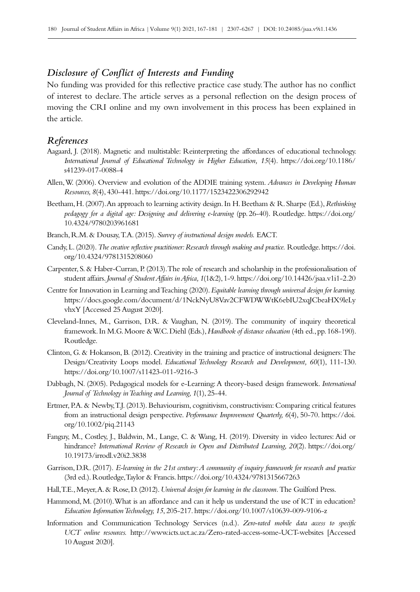# *Disclosure of Conflict of Interests and Funding*

No funding was provided for this reflective practice case study. The author has no conflict of interest to declare. The article serves as a personal reflection on the design process of moving the CRI online and my own involvement in this process has been explained in the article.

### *References*

- Aagaard, J. (2018). Magnetic and multistable: Reinterpreting the affordances of educational technology. *International Journal of Educational Technology in Higher Education, 15*(4). [https://doi.org/10.1186/](https://doi.org/10.1186/s41239-017-0088-4) [s41239-017-0088-4](https://doi.org/10.1186/s41239-017-0088-4)
- Allen, W. (2006). Overview and evolution of the ADDIE training system. *Advances in Developing Human Resources, 8*(4), 430‑441.<https://doi.org/10.1177/1523422306292942>
- Beetham, H. (2007). An approach to learning activity design. In H. Beetham & R. Sharpe (Ed.), *Rethinking pedagogy for a digital age: Designing and delivering e-learning* (pp.26‑40). Routledge. [https://doi.org/](https://doi.org/10.4324/9780203961681) [10.4324/9780203961681](https://doi.org/10.4324/9780203961681)
- Branch, R.M. & Dousay, T.A. (2015). *Survey of instructional design models.* EACT.
- Candy, L. (2020). *The creative reflective practitioner: Research through making and practice.* Routledge. [https://doi.](https://doi.org/10.4324/9781315208060) [org/10.4324/9781315208060](https://doi.org/10.4324/9781315208060)
- Carpenter, S. & Haber-Curran, P. (2013). The role of research and scholarship in the professionalisation of student affairs. *Journal of Student Affairs in Africa, 1*(1&2), 1‑9.<https://doi.org/10.14426/jsaa.v1i1-2.20>
- Centre for Innovation in Learning and Teaching (2020). *Equitable learning through universal design for learning.* [https://docs.google.com/document/d/1NckNyU8Vav2CFWDWWtK6ebIU2xqJCbeaHX9leLy](https://docs.google.com/document/d/1NckNyU8Vav2CFWDWWtK6ebIU2xqJCbeaHX9leLyvhxY) [vhxY](https://docs.google.com/document/d/1NckNyU8Vav2CFWDWWtK6ebIU2xqJCbeaHX9leLyvhxY) [Accessed 25 August 2020].
- Cleveland-Innes, M., Garrison, D.R. & Vaughan, N. (2019). The community of inquiry theoretical framework. In M.G. Moore & W.C. Diehl (Eds.), *Handbook of distance education* (4th ed., pp.168‑190). Routledge.
- Clinton, G. & Hokanson, B. (2012). Creativity in the training and practice of instructional designers: The Design/Creativity Loops model. *Educational Technology Research and Development*, 60(1), 111-130. <https://doi.org/10.1007/s11423-011-9216-3>
- Dabbagh, N. (2005). Pedagogical models for e‑Learning: A theory-based design framework. *International Journal of Technology in Teaching and Learning, 1*(1), 25‑44.
- Ertmer, P.A. & Newby, T.J. (2013). Behaviourism, cognitivism, constructivism: Comparing critical features from an instructional design perspective. *Performance Improvement Quarterly, 6(4), 50-70.* [https://doi.](https://doi.org/10.1002/piq.21143) [org/10.1002/piq.21143](https://doi.org/10.1002/piq.21143)
- Fanguy, M., Costley, J., Baldwin, M., Lange, C. & Wang, H. (2019). Diversity in video lectures: Aid or hindrance? *International Review of Research in Open and Distributed Learning, 20*(2). [https://doi.org/](https://doi.org/10.19173/irrodl.v20i2.3838) [10.19173/irrodl.v20i2.3838](https://doi.org/10.19173/irrodl.v20i2.3838)
- Garrison, D.R. (2017). *E-learning in the 21st century: A community of inquiry framework for research and practice*  (3rd ed.). Routledge, Taylor & Francis. <https://doi.org/10.4324/9781315667263>
- Hall, T.E., Meyer, A. & Rose, D. (2012). *Universal design for learning in the classroom.* The Guilford Press.
- Hammond, M. (2010). What is an affordance and can it help us understand the use of ICT in education? *Education Information Technology, 15*, 205‑217.<https://doi.org/10.1007/s10639-009-9106-z>
- Information and Communication Technology Services (n.d.). *Zero-rated mobile data access to specific UCT online resources.* <http://www.icts.uct.ac.za/Zero-rated-access-some-UCT-websites> [Accessed 10 August 2020].